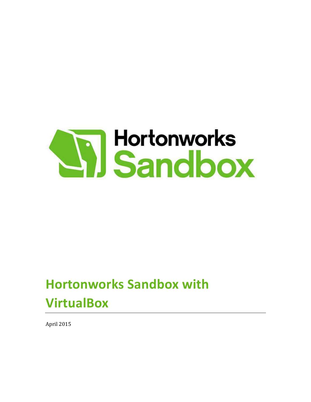

# **Hortonworks Sandbox with VirtualBox**

April 2015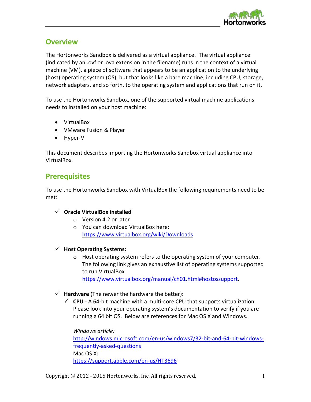

# **Overview**

The Hortonworks Sandbox is delivered as a virtual appliance. The virtual appliance (indicated by an .ovf or .ova extension in the filename) runs in the context of a virtual machine (VM), a piece of software that appears to be an application to the underlying (host) operating system (OS), but that looks like a bare machine, including CPU, storage, network adapters, and so forth, to the operating system and applications that run on it.

To use the Hortonworks Sandbox, one of the supported virtual machine applications needs to installed on your host machine:

- VirtualBox
- VMware Fusion & Player
- $\bullet$  Hyper-V

This document describes importing the Hortonworks Sandbox virtual appliance into VirtualBox.

# **Prerequisites**

To use the Hortonworks Sandbox with VirtualBox the following requirements need to be met:

# 9 **Oracle VirtualBox installed**

- o Version 4.2 or later
- o You can download VirtualBox here: https://www.virtualbox.org/wiki/Downloads

# 9 **Host Operating Systems:**

- o Host operating system refers to the operating system of your computer. The following link gives an exhaustive list of operating systems supported to run VirtualBox https://www.virtualbox.org/manual/ch01.html#hostossupport.
- $\checkmark$  **Hardware** (The newer the hardware the better):
	- $\checkmark$  CPU A 64-bit machine with a multi-core CPU that supports virtualization. Please look into your operating system's documentation to verify if you are running a 64 bit OS. Below are references for Mac OS X and Windows.

*Windows article:*  http://windows.microsoft.com/en-us/windows7/32-bit-and-64-bit-windowsfrequently-asked-questions Mac OS X: https://support.apple.com/en-us/HT3696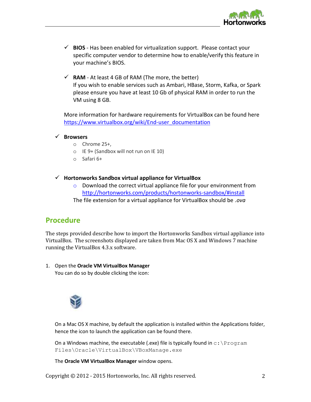

- $\checkmark$  **BIOS** Has been enabled for virtualization support. Please contact your specific computer vendor to determine how to enable/verify this feature in your machine's BIOS.
- $\checkmark$  **RAM** At least 4 GB of RAM (The more, the better) If you wish to enable services such as Ambari, HBase, Storm, Kafka, or Spark please ensure you have at least 10 Gb of physical RAM in order to run the VM using 8 GB.

More information for hardware requirements for VirtualBox can be found here https://www.virtualbox.org/wiki/End-user\_documentation

```
9 Browsers
```
- o Chrome 25+,
- o IE 9+ (Sandbox will not run on IE 10)
- o Safari 6+
- 9 **Hortonworks Sandbox virtual appliance for VirtualBox** 
	- $\circ$  Download the correct virtual appliance file for your environment from http://hortonworks.com/products/hortonworks-sandbox/#install The file extension for a virtual appliance for VirtualBox should be *.ova*

# **Procedure**

The steps provided describe how to import the Hortonworks Sandbox virtual appliance into VirtualBox. The screenshots displayed are taken from Mac OS X and Windows 7 machine running the VirtualBox 4.3.x software.

1. Open the **Oracle VM VirtualBox Manager**

You can do so by double clicking the icon:



On a Mac OS X machine, by default the application is installed within the Applications folder, hence the icon to launch the application can be found there.

On a Windows machine, the executable (.exe) file is typically found in  $c:\P$  rogram Files\Oracle\VirtualBox\VBoxManage.exe

The **Oracle VM VirtualBox Manager** window opens.

Copyright © 2012 - 2015 Hortonworks, Inc. All rights reserved. 2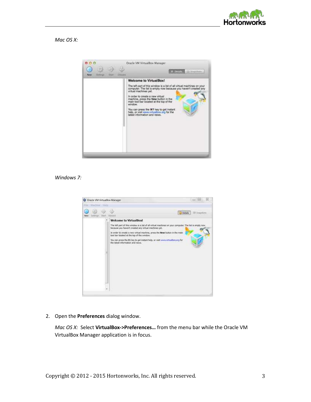

*Mac OS X:* 



#### *Windows 7:*



2. Open the **Preferences** dialog window.

*Mac OS X:* Select VirtualBox->Preferences... from the menu bar while the Oracle VM VirtualBox Manager application is in focus.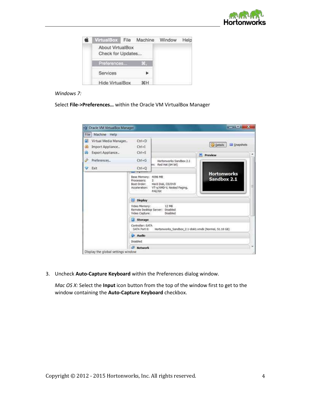

| VirtualBox File                       | Machine | Window | Help |
|---------------------------------------|---------|--------|------|
| About VirtualBox<br>Check for Updates |         |        |      |
| Preferences                           | tari)   |        |      |
| Services                              |         |        |      |
| <b>Hide VirtualBox</b>                |         |        |      |

## *Windows 7:*

Select File->Preferences... within the Oracle VM VirtualBox Manager

| File Machine Help                                                            |                                                                     |                                                                       |                                          |   |
|------------------------------------------------------------------------------|---------------------------------------------------------------------|-----------------------------------------------------------------------|------------------------------------------|---|
| Œ<br>Virtual Media Manager<br>ல<br>Import Appliance<br>க<br>Export Appliance | $Ctrl + D$<br>$Ctrl + I$<br>$Ctrl + E$                              |                                                                       | <b>O</b> Details<br>Snapshots<br>Preview |   |
| v<br>Preferences                                                             | $Ctrl + G$                                                          | Hortonworks Sandbox 2.1                                               |                                          |   |
| <b>V</b> Exit                                                                | $Ctrl + Q$                                                          | Red Hat (64 bit)<br>ime.                                              |                                          |   |
|                                                                              | Base Memory: 4096 MB<br>Processors:<br>Soot Order:<br>Acceleration: | ž<br>Hard Disk, CD/DVD<br>VT-x/AMD-V, Nested Paging,<br><b>PAE/NX</b> | <b>Hortonworks</b><br>Sandbox 2.1        | 릛 |
|                                                                              | Display                                                             |                                                                       |                                          |   |
|                                                                              | Video Memory:<br>Video Capture:                                     | 12 MB<br>Remote Desktop Server: Disabled<br>Disabled                  |                                          |   |
|                                                                              | Storage<br>Ø.                                                       |                                                                       |                                          |   |
|                                                                              | Controller: SATA<br>SATA Port 0:                                    | Hortonworks Sandbox 2.1-disk1.vmdk (Normal, 51.10 GB)                 |                                          |   |
|                                                                              | Audio                                                               |                                                                       |                                          |   |
|                                                                              | Disabled                                                            |                                                                       |                                          |   |
|                                                                              | <b>Network</b>                                                      |                                                                       |                                          |   |

3. Uncheck **Auto-Capture Keyboard** within the Preferences dialog window.

*Mac OS X:* Select the **Input** icon button from the top of the window first to get to the window containing the **Auto-Capture Keyboard** checkbox.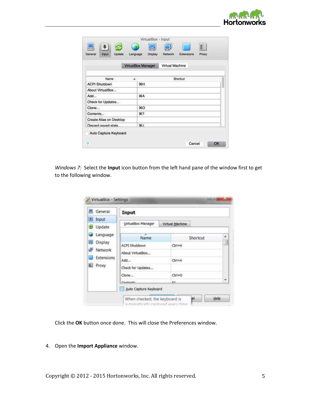

|                                         | VirtualBox - Input       |                                 |    |
|-----------------------------------------|--------------------------|---------------------------------|----|
| ¥,<br>Update<br>General<br><b>Input</b> | 圓<br>Display<br>Language | Network.<br>Extensions<br>Proxy |    |
|                                         | VirtualBox Manager       | Virtual Machine                 |    |
| Name                                    | ٠                        | Shortout                        |    |
| <b>ACPI Shutdown</b>                    | ЖH                       |                                 |    |
| About VirtualBox                        |                          |                                 |    |
| Add                                     | $30$ A                   |                                 |    |
| Check for Updates                       |                          |                                 |    |
| Clone                                   | \$0.36                   |                                 |    |
| Contents                                | 36?                      |                                 |    |
| Create Alias on Desktop                 |                          |                                 |    |
| Discard saved state.                    | 黑.1                      |                                 |    |
| Auto Capture Keyboard<br>2              |                          | Cancel                          | OK |

*Windows 7:* Select the **Input** icon button from the left hand pane of the window first to get to the following window.

| General                 | Input                 |                 |  |
|-------------------------|-----------------------|-----------------|--|
| a Input<br>Update<br>G) | VirtualBox Manager    | Virtual Machine |  |
| Language                | Name                  | Shortcut        |  |
| Display                 | <b>ACPI Shutdown</b>  | Ctrl+H          |  |
| Network                 | About VirtualBox      |                 |  |
| Extensions              | Add                   | Ctrl+A          |  |
| <b>EL</b> Proxy         | Check for Updates     |                 |  |
|                         | Clone                 | $Crit+O$        |  |
|                         | Contante.             | ica.            |  |
|                         | Auto Capture Keyboard |                 |  |

Click the **OK** button once done. This will close the Preferences window.

# 4. Open the **Import Appliance** window.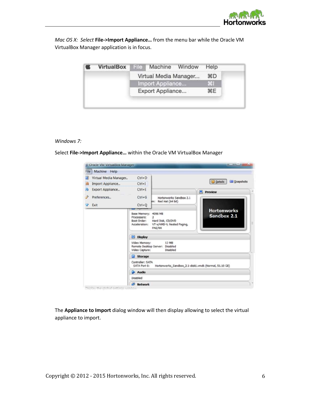

*Mac OS X: Select File->Import Appliance... from the menu bar while the Oracle VM* VirtualBox Manager application is in focus.

| <b>VirtualBox</b> | Machine Window<br>File | Help    |
|-------------------|------------------------|---------|
|                   | Virtual Media Manager  | <b></b> |
|                   | Import Appliance       | 第1      |
|                   | Export Appliance       | <b></b> |

#### *Windows 7:*

Select File->Import Appliance... within the Oracle VM VirtualBox Manager

| Machine<br>File <sup>®</sup><br>Help |                                                                    |                                                                                  |                                        |
|--------------------------------------|--------------------------------------------------------------------|----------------------------------------------------------------------------------|----------------------------------------|
| Virtual Media Manager                | $Ctrl + D$                                                         |                                                                                  |                                        |
| Import Appliance<br>(a)              | $Ctrl - 1$                                                         |                                                                                  | <b>Q</b> etails<br>Snapshots           |
| Export Appliance                     | $Ctrl + E$                                                         |                                                                                  | Preview<br>属                           |
| Preferences                          | $Ctrl + G$                                                         | Hortonworks Sandbox 2.1<br>im: Red Hat (64 bit)                                  |                                        |
| Exit                                 | $Ctrl + O$                                                         |                                                                                  |                                        |
|                                      | <b>Base Memory:</b><br>Processors:<br>Boot Order:<br>Acceleration: | 4096 MB<br>2<br>Hard Disk, CD/DVD<br>VT-x/AMD-V, Nested Paging,<br><b>PAE/NX</b> | <b>Hortonworks</b><br>Sandbox 2.1<br>E |
|                                      | Display                                                            |                                                                                  |                                        |
|                                      | Video Memory:<br>Remote Desktop Server:<br>Video Capture:          | 12 MB<br>Disabled<br>Disabled                                                    |                                        |
|                                      | Storage                                                            |                                                                                  |                                        |
|                                      | Controller: SATA<br>SATA Port 0:                                   | Hortonworks_Sandbox_2.1-disk1.vmdk (Normal, 51.10 G8)                            |                                        |
|                                      | Audio                                                              |                                                                                  |                                        |
|                                      | Disabled                                                           |                                                                                  |                                        |
|                                      | <b>Network</b>                                                     |                                                                                  |                                        |

The **Appliance to Import** dialog window will then display allowing to select the virtual appliance to import.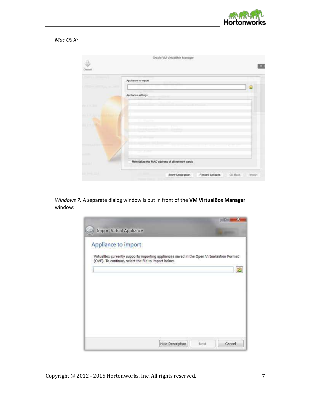

*Mac OS X:*



*Windows 7:* A separate dialog window is put in front of the **VM VirtualBox Manager** window:

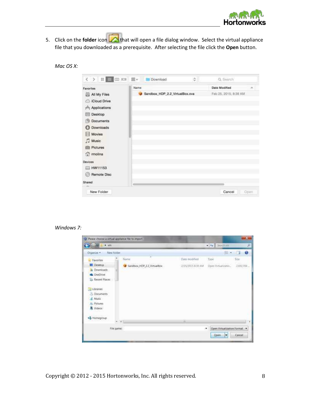

5. Click on the **folder** icon **that** will open a file dialog window. Select the virtual appliance file that you downloaded as a prerequisite. After selecting the file click the **Open** button.

| Mac OS X: |  |  |
|-----------|--|--|
|-----------|--|--|

| 〈 〉 # ■ Ⅲ Ⅲ                                                                                                                                                     | 盥い   | Download<br>٠                  | G | Q. Search             |      |
|-----------------------------------------------------------------------------------------------------------------------------------------------------------------|------|--------------------------------|---|-----------------------|------|
| Favorites                                                                                                                                                       | Name |                                |   | <b>Date Modified</b>  | ×    |
| All My Files<br>Cloud Drive<br>$\curvearrowright$ Applications<br>Desktop<br>Documents<br>m<br>Downloads<br>o<br>Movies<br><b>J</b> Music<br>Pictures<br>molina |      | Sandbox_HDP_2.2_VirtualBox.ova |   | Feb 25, 2015; 8:39 AM |      |
| Devices<br>HW11153<br><b>Remote Disc</b><br>Shared<br>New Folder                                                                                                |      |                                |   | Cancel                | Open |

# *Windows 7:*

| L. A. wm                                                                                                                                                               |                             |                   | $ +$ $\bullet$ Search am                     | p           |
|------------------------------------------------------------------------------------------------------------------------------------------------------------------------|-----------------------------|-------------------|----------------------------------------------|-------------|
| New folder<br>Organize -                                                                                                                                               |                             |                   | <b>IE ·</b>                                  | Đ<br>E.     |
| Favorites                                                                                                                                                              | ×<br>Name                   | Date modified     | Type                                         | 526         |
| <b>Desktop</b><br><b>Downloads</b><br>Ξ<br><b>G.</b> OneDrive<br><b>Recent Places</b><br>Libranes<br>Documents<br>J. Music<br><b>R.</b> Pictures<br>Videos<br>562 IV 5 | Sandbox, HDP_2.2_VirtualBox | 2/25/2015 8:39 AM | Open Virtualizatio                           | 2,692,704   |
| <b>CONTRACTOR</b> SERVICE<br>+omegroup<br>$-14.1$                                                                                                                      |                             | ш                 |                                              |             |
| File game:                                                                                                                                                             |                             |                   | Open Virtualization Format<br>漺<br>Open<br>٠ | ۰<br>Cancel |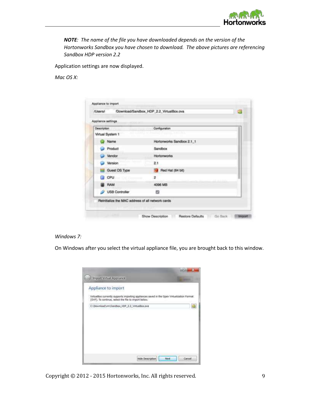

*NOTE: The name of the file you have downloaded depends on the version of the Hortonworks Sandbox you have chosen to download. The above pictures are referencing Sandbox HDP version 2.2* 

Application settings are now displayed.

*Mac OS X:* 

| Appliance settings |                           |
|--------------------|---------------------------|
| Description        | Configuration             |
| Virtual System 1   | $-2.140 - 0.1$            |
| Name               | Hortonworks Sandbox 2.1_1 |
| Product            | Sandbox                   |
| Vendor             | Hortomworks               |
| Version<br>ت       | 2.1                       |
| Guest OS Type      | Red Hat (64 bit)          |
| CPU                | $\overline{z}$            |
| <b>RAM</b>         | 4096 MB                   |
| USB Controller     | 四                         |

## *Windows 7:*

On Windows after you select the virtual appliance file, you are brought back to this window.

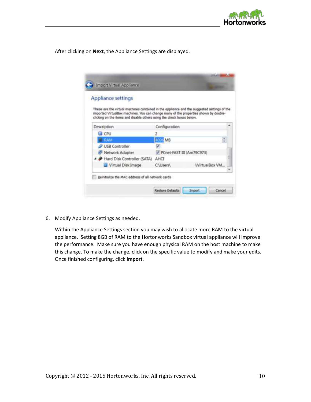

After clicking on **Next**, the Appliance Settings are displayed.

| <b>Appliance settings</b>                                                                                                                                                           |                           |                       |
|-------------------------------------------------------------------------------------------------------------------------------------------------------------------------------------|---------------------------|-----------------------|
| These are the virtual machines contained in the appliance and the suggested settings of the<br>imported VirtualBox machines. You can change many of the properties shown by double- |                           |                       |
| clicking on the items and disable others using the check boxes below.                                                                                                               |                           |                       |
| Description                                                                                                                                                                         | Configuration             |                       |
| <b>E CPU</b>                                                                                                                                                                        |                           |                       |
| RAM                                                                                                                                                                                 | M <sub>B</sub>            |                       |
| VSB Controller                                                                                                                                                                      |                           |                       |
| Network Adapter                                                                                                                                                                     | PCnet-FAST III (Am79C973) |                       |
| Hard Disk Controller (SATA)                                                                                                                                                         | AHCT                      |                       |
| Virtual Disk Image                                                                                                                                                                  | <b>CAUsersA</b>           | <b>NirtualBox VM.</b> |
|                                                                                                                                                                                     |                           |                       |

6. Modify Appliance Settings as needed.

Within the Appliance Settings section you may wish to allocate more RAM to the virtual appliance. Setting 8GB of RAM to the Hortonworks Sandbox virtual appliance will improve the performance. Make sure you have enough physical RAM on the host machine to make this change. To make the change, click on the specific value to modify and make your edits. Once finished configuring, click **Import**.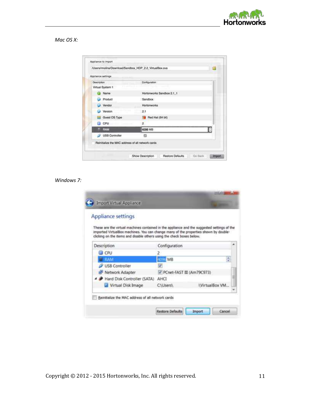

*Mac OS X:* 

| Appliance settings                                 |                           |   |
|----------------------------------------------------|---------------------------|---|
| Description:<br>Virtual System 1                   | Configuration             |   |
| Co Name                                            | Hortonworks Sandbox 2.1_1 |   |
| Product                                            | Sandbox                   |   |
| Vendor                                             | Hortonworks               |   |
| Version                                            | 2.1                       |   |
| Guest OS Type                                      | Red Hat (64 bit)          |   |
| CPU<br>Em 1<br>Concertainty of the                 | 2                         |   |
| <b>RAM</b>                                         | 4096 MB                   | о |
| USB Controller                                     | ø                         |   |
| Reinitialize the MAC address of all network cards. |                           |   |

## *Windows 7:*

| <b>Appliance settings</b>                                                                                                                                                           |                           |                      |
|-------------------------------------------------------------------------------------------------------------------------------------------------------------------------------------|---------------------------|----------------------|
| These are the virtual machines contained in the appliance and the suggested settings of the<br>imported VirtualBox machines. You can change many of the properties shown by double- |                           |                      |
| clicking on the items and disable others using the check boxes below.                                                                                                               |                           |                      |
| Description                                                                                                                                                                         | Configuration             |                      |
| <b>CPU</b>                                                                                                                                                                          |                           |                      |
| <b>E</b> RAM                                                                                                                                                                        | EL MB                     |                      |
| VSB Controller                                                                                                                                                                      |                           |                      |
| Network Adapter                                                                                                                                                                     | PCnet-FAST III (Am79C973) |                      |
| A Hard Disk Controller (SATA)                                                                                                                                                       | AHC                       |                      |
| Virtual Disk Image                                                                                                                                                                  | <b>CAUsers\</b>           | <b>NirtualBox VM</b> |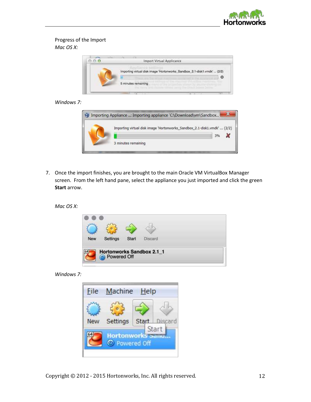

# Progress of the Import *Mac OS X:*



## *Windows 7:*



7. Once the import finishes, you are brought to the main Oracle VM VirtualBox Manager screen. From the left hand pane, select the appliance you just imported and click the green **Start** arrow.

*Mac OS X:* 



*Windows 7:* 

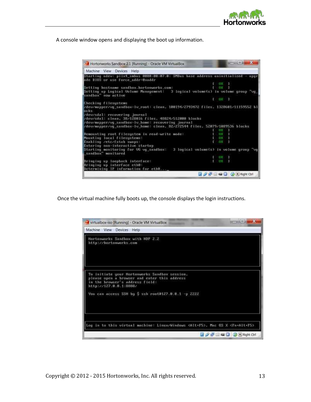

A console window opens and displaying the boot up information.

| Hortonworks Sandbox 2.1 [Running] - Oracle VM VirtualBox                                                                                                                                                                                                                                                                                                                                                                                                                                                                                                       |                               | <b>DOMESTIC</b> SP NO |                                                                                                                                                                           |  |
|----------------------------------------------------------------------------------------------------------------------------------------------------------------------------------------------------------------------------------------------------------------------------------------------------------------------------------------------------------------------------------------------------------------------------------------------------------------------------------------------------------------------------------------------------------------|-------------------------------|-----------------------|---------------------------------------------------------------------------------------------------------------------------------------------------------------------------|--|
| Machine View Devices Help                                                                                                                                                                                                                                                                                                                                                                                                                                                                                                                                      |                               |                       |                                                                                                                                                                           |  |
| Starting udev: piix4 smbus 0000:08:07.0: SMBus base address uninitialized - upgr<br>ade B10S or use force addr=8xaddr                                                                                                                                                                                                                                                                                                                                                                                                                                          |                               |                       |                                                                                                                                                                           |  |
|                                                                                                                                                                                                                                                                                                                                                                                                                                                                                                                                                                | UX.                           |                       |                                                                                                                                                                           |  |
| Setting hostname sandbox.hortonworks.com:                                                                                                                                                                                                                                                                                                                                                                                                                                                                                                                      |                               |                       |                                                                                                                                                                           |  |
| Setting up Logical Volume Management: 3 logical volume(s) in volume group "vg<br>sandbox" now active                                                                                                                                                                                                                                                                                                                                                                                                                                                           |                               |                       |                                                                                                                                                                           |  |
|                                                                                                                                                                                                                                                                                                                                                                                                                                                                                                                                                                | $(1 - 1)$ $(1 - 1)$           |                       |                                                                                                                                                                           |  |
| Checking filesustems                                                                                                                                                                                                                                                                                                                                                                                                                                                                                                                                           |                               |                       |                                                                                                                                                                           |  |
| /dev/mapper/vg_sandbox-Iv_root: clean, 188194/2793472 files, 1328681/11159552 bl<br>ocks<br>/dev/sdal: recovering journal<br>/dev/sda1: clean, 38/128016 files, 48824/512080 blocks<br>/dev/mapper/vg_sandbox-lv_home: recovering journal<br>/dev/mapper/vg sandbox-lv_home: clean, 82/272544 files, 52879/1889536 blocks<br>Remounting root filesystem in read-write mode:<br>Mounting local filesustems:<br>Enabling /etc/fstab swaps:<br>Entering non-interactive startup<br>Starting monitoring for UG og_sandbox: 3 logical volume(s) in volume group "og | C R<br>OK.<br><b>DR</b><br>ĐЖ |                       |                                                                                                                                                                           |  |
| sandbox monitored                                                                                                                                                                                                                                                                                                                                                                                                                                                                                                                                              |                               |                       |                                                                                                                                                                           |  |
|                                                                                                                                                                                                                                                                                                                                                                                                                                                                                                                                                                | G K                           |                       |                                                                                                                                                                           |  |
| Bringing up loopback interface:<br>Bringing up interface ethB:                                                                                                                                                                                                                                                                                                                                                                                                                                                                                                 | OК                            |                       |                                                                                                                                                                           |  |
| Determining IP information for eth8                                                                                                                                                                                                                                                                                                                                                                                                                                                                                                                            |                               |                       |                                                                                                                                                                           |  |
|                                                                                                                                                                                                                                                                                                                                                                                                                                                                                                                                                                |                               |                       | $\mathscr{D}$ $\mathbb{R}$ $\mathbb{R}$ $\mathbb{C}$ $\mathbb{C}$ $\mathbb{C}$ $\mathbb{R}$ $\mathbb{R}$ $\mathbb{R}$ $\mathbb{C}$ $\mathbb{C}$ $\mathbb{C}$ $\mathbb{R}$ |  |

Once the virtual machine fully boots up, the console displays the login instructions.

|                           | virtualbox-iso [Running] - Oracle VM VirtualBox |                                                                                               |                                                                                                   |  |
|---------------------------|-------------------------------------------------|-----------------------------------------------------------------------------------------------|---------------------------------------------------------------------------------------------------|--|
| Machine View Devices Help |                                                 |                                                                                               |                                                                                                   |  |
| http://hortonworks.com    | Hortonworks Sandbox with HDP 2.2                |                                                                                               |                                                                                                   |  |
| http://127.8.8.1:8888/    | in the browser's address field:                 | To initiate your Hortonworks Sandbox session,<br>please open a browser and enter this address |                                                                                                   |  |
|                           |                                                 | You can access SSH by \$ ssh root0127.0.0.1 -p 2222                                           |                                                                                                   |  |
|                           |                                                 |                                                                                               | Log in to this virtual machine: Linux/Windows <alt+f5>, Mac OS X <fn+alt+f5></fn+alt+f5></alt+f5> |  |
|                           |                                                 |                                                                                               | <b>BAJEED BERght Ctrl</b>                                                                         |  |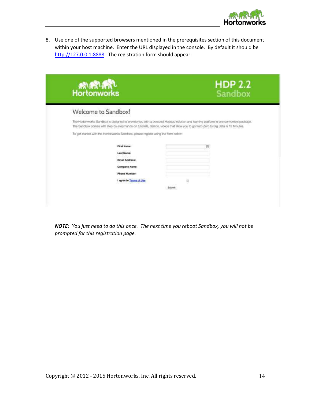

8. Use one of the supported browsers mentioned in the prerequisites section of this document within your host machine. Enter the URL displayed in the console. By default it should be http://127.0.0.1:8888. The registration form should appear:

| <b>RURTLET</b>                                                                                                                                                                                                                                                          | <b>HDP 2.2</b><br>Sandbox |
|-------------------------------------------------------------------------------------------------------------------------------------------------------------------------------------------------------------------------------------------------------------------------|---------------------------|
| Welcome to Sandbox!                                                                                                                                                                                                                                                     |                           |
| The Hortonworks Sandbox is designed to provide you with a personal Hadoop solution and learning platform in one convenient package.<br>The Sandbox cornes with step-by-step hands-on tutorials, demos, videos that allow you to go from Zero to Big Data in 15 Minutes. |                           |
| To get started with the Hortonworks Sandbox, please register using the form below.                                                                                                                                                                                      |                           |
| <b>First Name:</b>                                                                                                                                                                                                                                                      | 阢                         |
| <b>Last Name:</b>                                                                                                                                                                                                                                                       |                           |
| Email Address:                                                                                                                                                                                                                                                          |                           |
| Company Name:                                                                                                                                                                                                                                                           |                           |
| <b>Phone Number:</b>                                                                                                                                                                                                                                                    |                           |
| I agree to Torms of Use                                                                                                                                                                                                                                                 | Ð                         |
|                                                                                                                                                                                                                                                                         |                           |

*NOTE: You just need to do this once. The next time you reboot Sandbox, you will not be prompted for this registration page.*